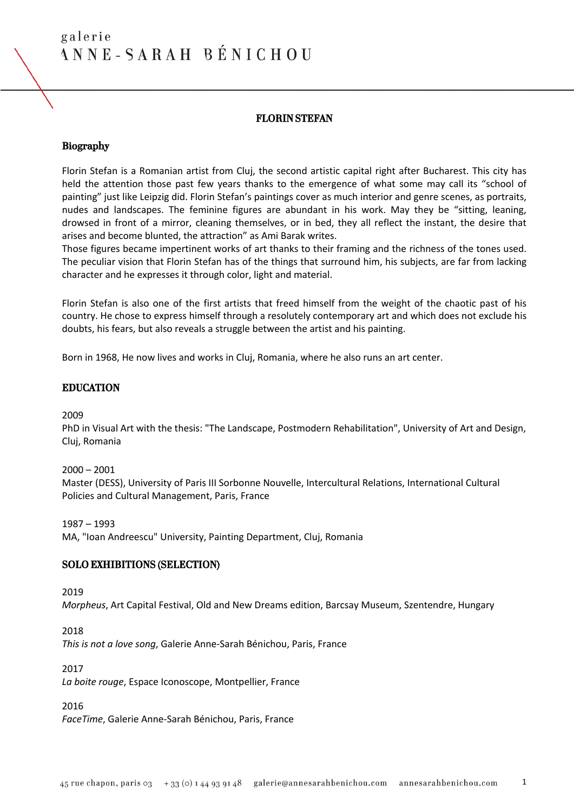# FLORIN STEFAN

#### Biography

Florin Stefan is a Romanian artist from Cluj, the second artistic capital right after Bucharest. This city has held the attention those past few years thanks to the emergence of what some may call its "school of painting" just like Leipzig did. Florin Stefan's paintings cover as much interior and genre scenes, as portraits, nudes and landscapes. The feminine figures are abundant in his work. May they be "sitting, leaning, drowsed in front of a mirror, cleaning themselves, or in bed, they all reflect the instant, the desire that arises and become blunted, the attraction" as Ami Barak writes.

Those figures became impertinent works of art thanks to their framing and the richness of the tones used. The peculiar vision that Florin Stefan has of the things that surround him, his subjects, are far from lacking character and he expresses it through color, light and material.

Florin Stefan is also one of the first artists that freed himself from the weight of the chaotic past of his country. He chose to express himself through a resolutely contemporary art and which does not exclude his doubts, his fears, but also reveals a struggle between the artist and his painting.

Born in 1968, He now lives and works in Cluj, Romania, where he also runs an art center.

### EDUCATION

2009

PhD in Visual Art with the thesis: "The Landscape, Postmodern Rehabilitation", University of Art and Design, Cluj, Romania

 $2000 - 2001$ 

Master (DESS), University of Paris III Sorbonne Nouvelle, Intercultural Relations, International Cultural Policies and Cultural Management, Paris, France

1987 – 1993

MA, "Ioan Andreescu" University, Painting Department, Cluj, Romania

#### SOLO EXHIBITIONS (SELECTION)

2019

*Morpheus*, Art Capital Festival, Old and New Dreams edition, Barcsay Museum, Szentendre, Hungary

2018

*This is not a love song*, Galerie Anne-Sarah Bénichou, Paris, France

2017

*La boite rouge*, Espace Iconoscope, Montpellier, France

2016

*FaceTime*, Galerie Anne-Sarah Bénichou, Paris, France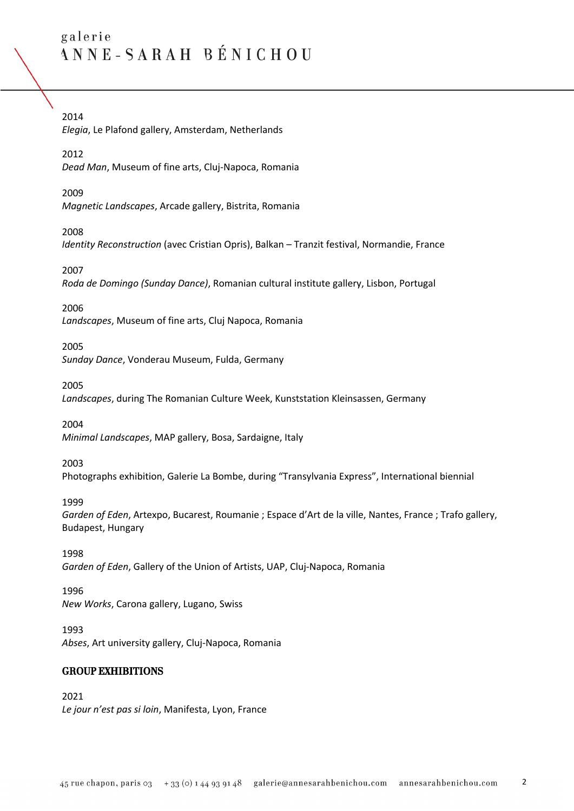# 2014

*Elegia*, Le Plafond gallery, Amsterdam, Netherlands

# 2012

*Dead Man*, Museum of fine arts, Cluj-Napoca, Romania

# 2009

*Magnetic Landscapes*, Arcade gallery, Bistrita, Romania

# 2008

*Identity Reconstruction* (avec Cristian Opris), Balkan – Tranzit festival, Normandie, France

# 2007

*Roda de Domingo (Sunday Dance)*, Romanian cultural institute gallery, Lisbon, Portugal

# 2006

*Landscapes*, Museum of fine arts, Cluj Napoca, Romania

# 2005

*Sunday Dance*, Vonderau Museum, Fulda, Germany

2005

*Landscapes*, during The Romanian Culture Week, Kunststation Kleinsassen, Germany

2004

*Minimal Landscapes*, MAP gallery, Bosa, Sardaigne, Italy

# 2003

Photographs exhibition, Galerie La Bombe, during "Transylvania Express", International biennial

#### 1999

*Garden of Eden*, Artexpo, Bucarest, Roumanie ; Espace d'Art de la ville, Nantes, France ; Trafo gallery, Budapest, Hungary

1998 *Garden of Eden*, Gallery of the Union of Artists, UAP, Cluj-Napoca, Romania

#### 1996

*New Works*, Carona gallery, Lugano, Swiss

1993 *Abses*, Art university gallery, Cluj-Napoca, Romania

# GROUP EXHIBITIONS

2021 *Le jour n'est pas si loin*, Manifesta, Lyon, France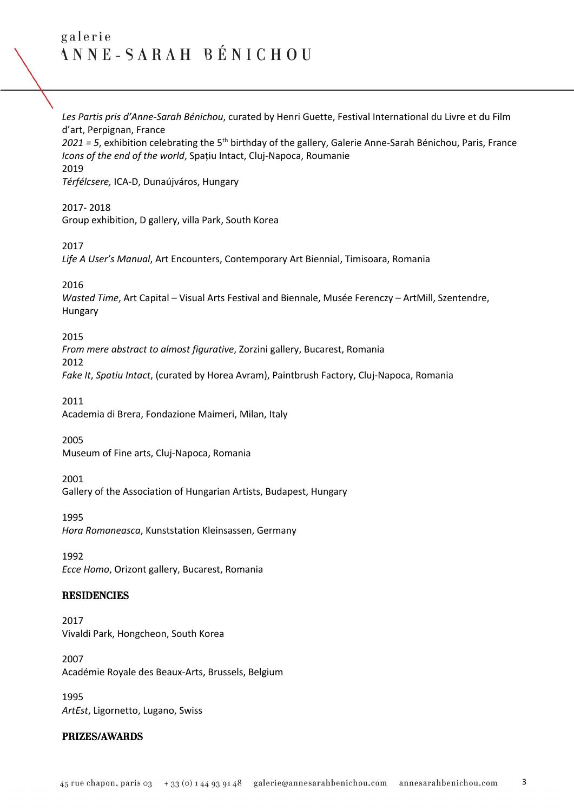*Les Partis pris d'Anne-Sarah Bénichou*, curated by Henri Guette, Festival International du Livre et du Film d'art, Perpignan, France

*2021 = 5*, exhibition celebrating the 5th birthday of the gallery, Galerie Anne-Sarah Bénichou, Paris, France *Icons of the end of the world*, Spațiu Intact, Cluj-Napoca, Roumanie 2019

*Térfélcsere,* ICA-D, Dunaújváros, Hungary

#### 2017- 2018

Group exhibition, D gallery, villa Park, South Korea

#### 2017

*Life A User's Manual*, Art Encounters, Contemporary Art Biennial, Timisoara, Romania

### 2016

*Wasted Time*, Art Capital – Visual Arts Festival and Biennale, Musée Ferenczy – ArtMill, Szentendre, Hungary

### 2015

*From mere abstract to almost figurative*, Zorzini gallery, Bucarest, Romania 2012 *Fake It*, *Spatiu Intact*, (curated by Horea Avram), Paintbrush Factory, Cluj-Napoca, Romania

2011

Academia di Brera, Fondazione Maimeri, Milan, Italy

2005

Museum of Fine arts, Cluj-Napoca, Romania

2001

Gallery of the Association of Hungarian Artists, Budapest, Hungary

1995

*Hora Romaneasca*, Kunststation Kleinsassen, Germany

1992 *Ecce Homo*, Orizont gallery, Bucarest, Romania

# **RESIDENCIES**

2017 Vivaldi Park, Hongcheon, South Korea

2007 Académie Royale des Beaux-Arts, Brussels, Belgium

1995 *ArtEst*, Ligornetto, Lugano, Swiss

# PRIZES/AWARDS